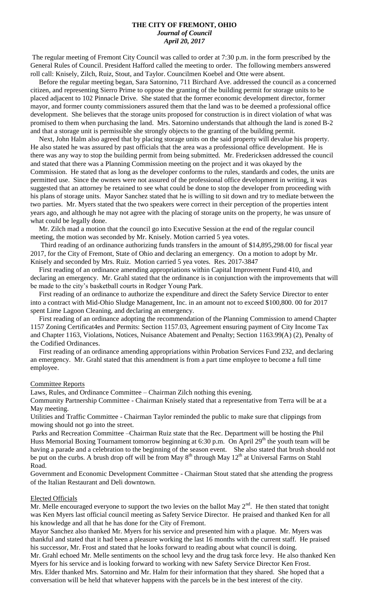# **THE CITY OF FREMONT, OHIO** *Journal of Council April 20, 2017*

The regular meeting of Fremont City Council was called to order at 7:30 p.m. in the form prescribed by the General Rules of Council. President Hafford called the meeting to order. The following members answered roll call: Knisely, Zilch, Ruiz, Stout, and Taylor. Councilmen Koebel and Otte were absent.

 Before the regular meeting began, Sara Satornino, 711 Birchard Ave. addressed the council as a concerned citizen, and representing Sierro Prime to oppose the granting of the building permit for storage units to be placed adjacent to 102 Pinnacle Drive. She stated that the former economic development director, former mayor, and former county commissioners assured them that the land was to be deemed a professional office development. She believes that the storage units proposed for construction is in direct violation of what was promised to them when purchasing the land. Mrs. Satornino understands that although the land is zoned B-2 and that a storage unit is permissible she strongly objects to the granting of the building permit.

 Next, John Halm also agreed that by placing storage units on the said property will devalue his property. He also stated he was assured by past officials that the area was a professional office development. He is there was any way to stop the building permit from being submitted. Mr. Fredericksen addressed the council and stated that there was a Planning Commission meeting on the project and it was okayed by the Commission. He stated that as long as the developer conforms to the rules, standards and codes, the units are permitted use. Since the owners were not assured of the professional office development in writing, it was suggested that an attorney be retained to see what could be done to stop the developer from proceeding with his plans of storage units. Mayor Sanchez stated that he is willing to sit down and try to mediate between the two parties. Mr. Myers stated that the two speakers were correct in their perception of the properties intent years ago, and although he may not agree with the placing of storage units on the property, he was unsure of what could be legally done.

 Mr. Zilch mad a motion that the council go into Executive Session at the end of the regular council meeting, the motion was seconded by Mr. Knisely. Motion carried 5 yea votes.

 Third reading of an ordinance authorizing funds transfers in the amount of \$14,895,298.00 for fiscal year 2017, for the City of Fremont, State of Ohio and declaring an emergency. On a motion to adopt by Mr. Knisely and seconded by Mrs. Ruiz. Motion carried 5 yea votes. Res. 2017-3847

 First reading of an ordinance amending appropriations within Capital Improvement Fund 410, and declaring an emergency. Mr. Grahl stated that the ordinance is in conjunction with the improvements that will be made to the city's basketball courts in Rodger Young Park.

 First reading of an ordinance to authorize the expenditure and direct the Safety Service Director to enter into a contract with Mid-Ohio Sludge Management, Inc. in an amount not to exceed \$100,800. 00 for 2017 spent Lime Lagoon Cleaning, and declaring an emergency.

 First reading of an ordinance adopting the recommendation of the Planning Commission to amend Chapter 1157 Zoning Certificat4es and Permits: Section 1157.03, Agreement ensuring payment of City Income Tax and Chapter 1163, Violations, Notices, Nuisance Abatement and Penalty; Section 1163.99(A) (2), Penalty of the Codified Ordinances.

 First reading of an ordinance amending appropriations within Probation Services Fund 232, and declaring an emergency. Mr. Grahl stated that this amendment is from a part time employee to become a full time employee.

## Committee Reports

Laws, Rules, and Ordinance Committee – Chairman Zilch nothing this evening.

Community Partnership Committee - Chairman Knisely stated that a representative from Terra will be at a May meeting.

Utilities and Traffic Committee - Chairman Taylor reminded the public to make sure that clippings from mowing should not go into the street.

Parks and Recreation Committee –Chairman Ruiz state that the Rec. Department will be hosting the Phil Huss Memorial Boxing Tournament tomorrow beginning at 6:30 p.m. On April 29<sup>th</sup> the youth team will be having a parade and a celebration to the beginning of the season event. She also stated that brush should not be put on the curbs. A brush drop off will be from May  $8<sup>th</sup>$  through May  $12<sup>th</sup>$  at Universal Farms on Stahl Road.

Government and Economic Development Committee - Chairman Stout stated that she attending the progress of the Italian Restaurant and Deli downtown.

## Elected Officials

Mr. Melle encouraged everyone to support the two levies on the ballot May  $2<sup>nd</sup>$ . He then stated that tonight was Ken Myers last official council meeting as Safety Service Director. He praised and thanked Ken for all his knowledge and all that he has done for the City of Fremont.

Mayor Sanchez also thanked Mr. Myers for his service and presented him with a plaque. Mr. Myers was thankful and stated that it had been a pleasure working the last 16 months with the current staff. He praised his successor, Mr. Frost and stated that he looks forward to reading about what council is doing.

Mr. Grahl echoed Mr. Melle sentiments on the school levy and the drug task force levy. He also thanked Ken Myers for his service and is looking forward to working with new Safety Service Director Ken Frost. Mrs. Elder thanked Mrs. Satornino and Mr. Halm for their information that they shared. She hoped that a conversation will be held that whatever happens with the parcels be in the best interest of the city.